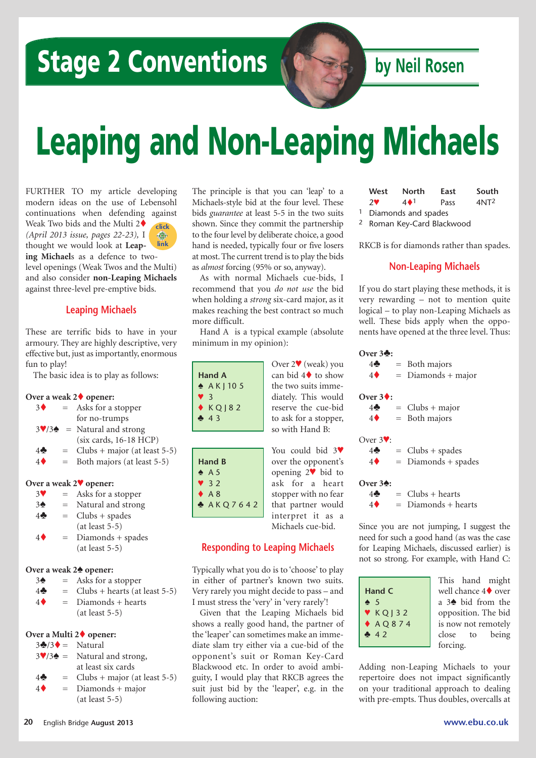## **Stage 2 Conventions by** Neil Rosen

# **Leaping and Non-Leaping Michaels**

FURTHER TO my article developing modern ideas on the use of Lebensohl continuations when defending against Weak Two bids and the Multi 2 $\blacklozenge$ *(April 2013 issue, pages 22-23),* I thought we would look at **Leaping Michael**s as a defence to twolevel openings (Weak Twos and the Multi) and also consider **non-Leaping Michaels** against three-level pre-emptive bids. **click link**

#### **Leaping Michaels**

These are terrific bids to have in your armoury. They are highly descriptive, very effective but, just as importantly, enormous fun to play!

The basic idea is to play as follows:

#### **Over a weak 2**t **opener:**

| 3 <sub>0</sub> | $=$ | Asks for a stopper |
|----------------|-----|--------------------|
|                |     | for no-trumps      |

- $3\sqrt{34}$  = Natural and strong (six cards, 16-18 HCP)
- $4\clubsuit$  = Clubs + major (at least 5-5)
- $4\bullet$  = Both majors (at least 5-5)

#### **Over a weak 2**™ **opener:**

- $3^{\circ}$  = Asks for a stopper
- $3\triangle$  = Natural and strong
- $4\clubsuit$  = Clubs + spades
- (at least 5-5)
- $4\bullet$  = Diamonds + spades (at least 5-5)

#### **Over** a weak  $2\spadesuit$  opener:

- $3\spadesuit$  = Asks for a stopper
- $4\clubsuit$  = Clubs + hearts (at least 5-5)
- $4\bullet$  = Diamonds + hearts (at least 5-5)

#### **Over a Multi 2**t **opener:**

- $3\clubsuit/3\spadesuit =$  Natural
- $3\sqrt{3\phi}$  = Natural and strong, at least six cards
- $4\clubsuit$  = Clubs + major (at least 5-5)
- $4\bullet$  = Diamonds + major (at least 5-5)

The principle is that you can 'leap' to a Michaels-style bid at the four level. These bids *guarantee* at least 5-5 in the two suits shown. Since they commit the partnership to the four level by deliberate choice, a good hand is needed, typically four or five losers at most.The current trend isto play the bids as *almost* forcing (95% or so, anyway).

As with normal Michaels cue-bids, I recommend that you *do not use* the bid when holding a *strong* six-card major, as it makes reaching the best contract so much more difficult.

Hand A is a typical example (absolute minimum in my opinion):

|                      | Over $2\Psi$ (weak) you          |
|----------------------|----------------------------------|
| Hand A               | can bid $4\blacklozenge$ to show |
| $\triangle$ AK   105 | the two suits imme-              |
| V 3                  | diately. This would              |
| $\triangle$ KQ   82  | reserve the cue-bid              |
| 43                   | to ask for a stopper,            |
|                      | so with Hand B:                  |
|                      |                                  |

**Hand B**  $\triangle$  A 5 ™ 3 2  $A 8$ 

|                | You could bid $3$      |
|----------------|------------------------|
| and B          | over the opponent's    |
| A 5            | opening $2\Psi$ bid to |
| 3 <sub>2</sub> | ask for a heart        |
| A8             | stopper with no fear   |
| AKQ7642        | that partner would     |

#### **Responding to Leaping Michaels**

interpret it as a Michaels cue-bid.

Typically what you do is to 'choose' to play in either of partner's known two suits. Very rarely you might decide to pass – and I must stress the 'very' in 'very rarely'!

Given that the Leaping Michaels bid shows a really good hand, the partner of the 'leaper' can sometimes make an immediate slam try either via a cue-bid of the opponent's suit or Roman Key-Card Blackwood etc. In order to avoid ambiguity, I would play that RKCB agrees the suit just bid by the 'leaper', e.g. in the following auction:

| West       | North                            | East | South            |
|------------|----------------------------------|------|------------------|
| $2^{\vee}$ | $4 \cdot 1$                      | Pass | 4NT <sup>2</sup> |
|            | <sup>1</sup> Diamonds and spades |      |                  |

2 Roman Key-Card Blackwood

RKCB is for diamonds rather than spades.

#### **Non-Leaping Michaels**

If you do start playing these methods, it is very rewarding – not to mention quite logical – to play non-Leaping Michaels as well. These bids apply when the opponents have opened at the three level. Thus:

|                     | Over $3\clubsuit$ :  |                       |
|---------------------|----------------------|-----------------------|
| weak) you           | $4\clubsuit$         | $=$ Both majors       |
| $\bullet$ to show   | $4\blacklozenge$     | $=$ Diamonds + major  |
| its imme-           |                      |                       |
| his would           | Over $3\bullet$ :    |                       |
| e cue-bid           | $4\clubsuit$         | $=$ Clubs + major     |
| a stopper,          | $4\blacklozenge$     | $=$ Both majors       |
| and B:              |                      |                       |
|                     | Over $3$ $\cdot$ :   |                       |
| d bid 3 $\Psi$      | $4\clubsuit$         | $=$ Clubs + spades    |
| pponent's           | $4\blacklozenge$     | $=$ Diamonds + spades |
| $\mathbf{v}$ bid to |                      |                       |
| a heart             | Over $3\spadesuit$ : |                       |
| ith no fear         | 4♣                   | $=$ Clubs + hearts    |

 $4\bullet$  = Diamonds + hearts

Since you are not jumping, I suggest the need for such a good hand (as was the case for Leaping Michaels, discussed earlier) is not so strong. For example, with Hand C:

| Hand C        |           |  |
|---------------|-----------|--|
| $\clubsuit$ 5 |           |  |
|               | $V$ KQ 32 |  |
|               | $AQQ$ 374 |  |
|               | 42        |  |
|               |           |  |

This hand might well chance  $4\blacklozenge$  over a  $3\spadesuit$  bid from the opposition. The bid is now not remotely close to being forcing.

Adding non-Leaping Michaels to your repertoire does not impact significantly on your traditional approach to dealing with pre-empts. Thus doubles, overcalls at